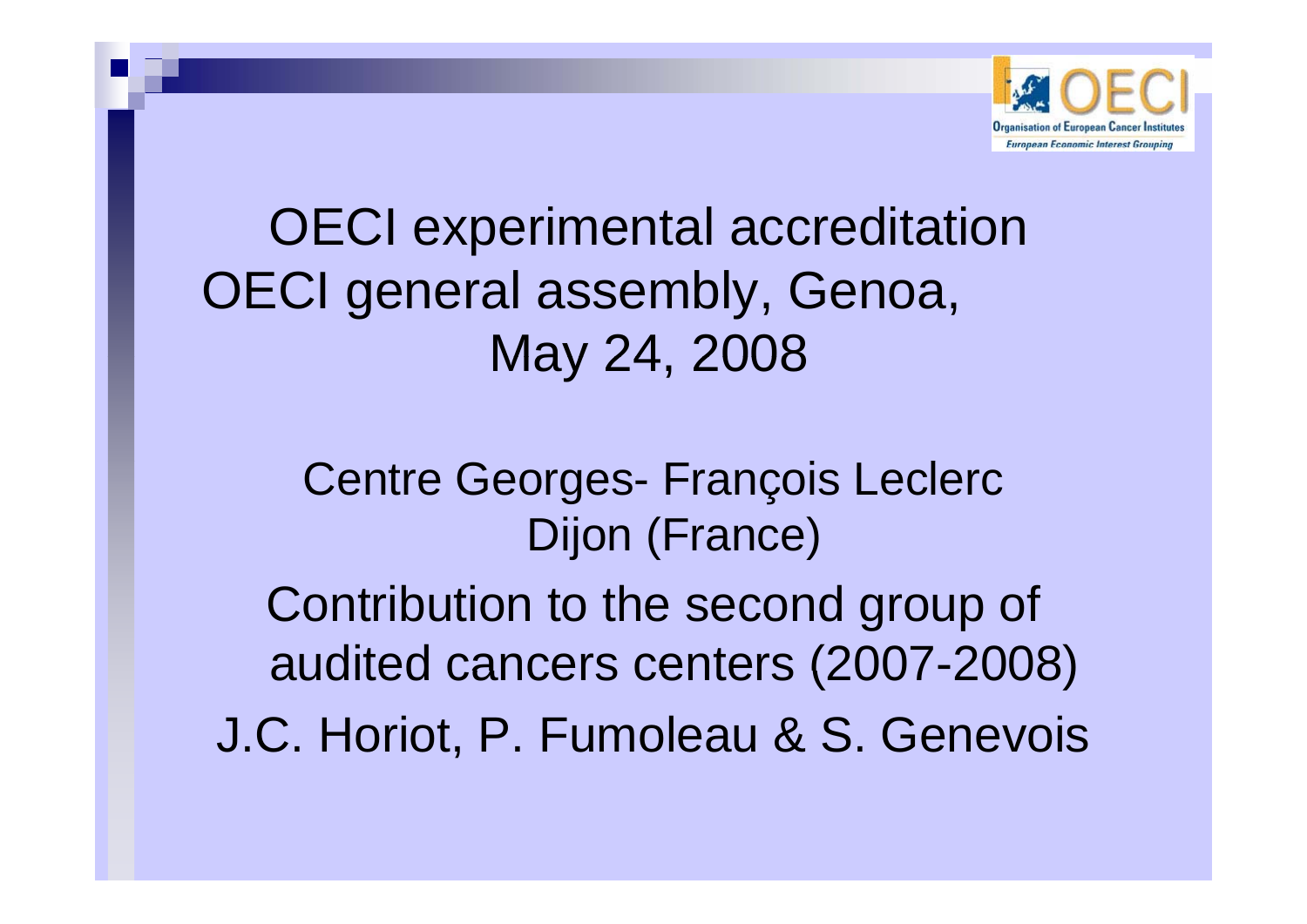

OECI experimental accreditation OECI general assembly, Genoa, May 24, 2008

> Centre Georges- François Leclerc Dijon (France)

Contribution to the second group of audited cancers centers (2007-2008)

J.C. Horiot, P. Fumoleau & S. Genevois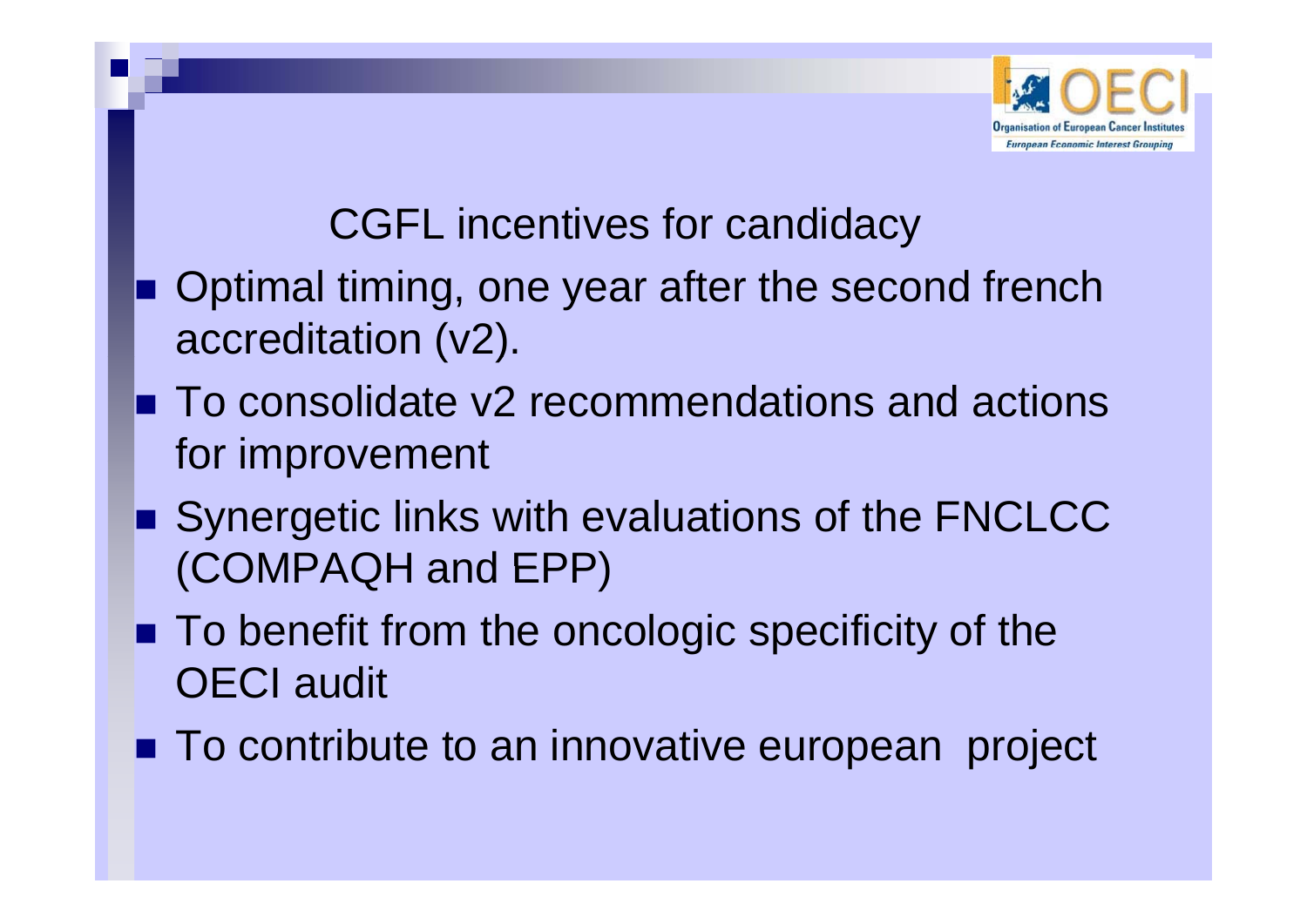

### CGFL incentives for candidacy

- **Depart Optimal timing, one year after the second french** accreditation (v2).
- To consolidate v2 recommendations and actions for improvement
- **Synergetic links with evaluations of the FNCLCC** (COMPAQH and EPP)
- To benefit from the oncologic specificity of the OECI audit
- **To contribute to an innovative european project**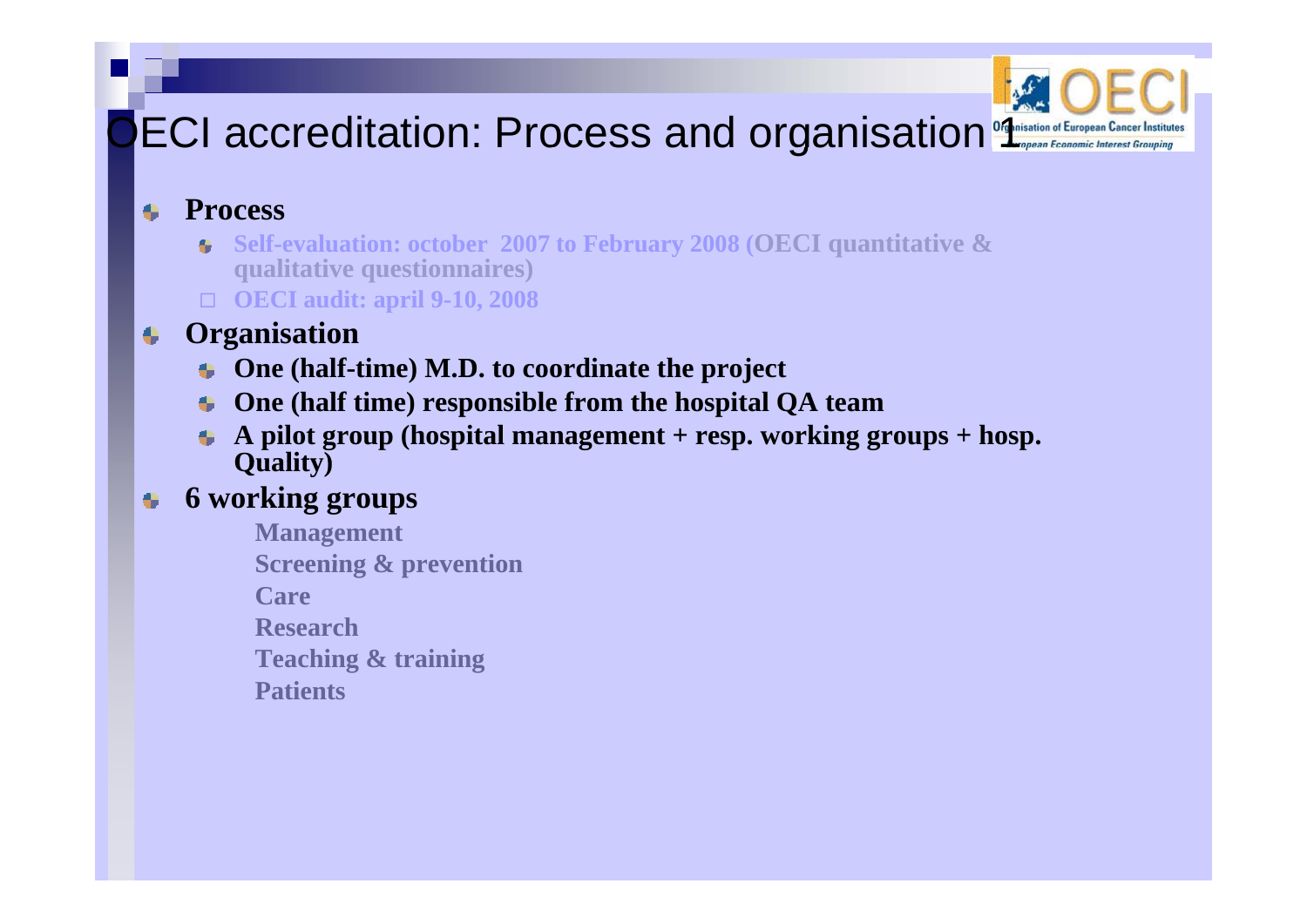## ECI accreditation: Process and organisation of European Cancer Institute



#### **Process**   $\bullet$

- Self-evaluation: october 2007 to February 2008 (OECI quantitative & **qualitative questionnaires)**
- **OECI audit: april 9-10, 2008**

#### **Organisation**  $\bullet$

- **One (half-time) M.D. to coordinate the project**
- **One (half time) responsible from the hospital QA team**
- **A pilot group (hospital management + resp. working groups + hosp. Quality)**

#### **6 working groups** ۰

**Management Screening & prevention CareResearchTeaching g & training Patients**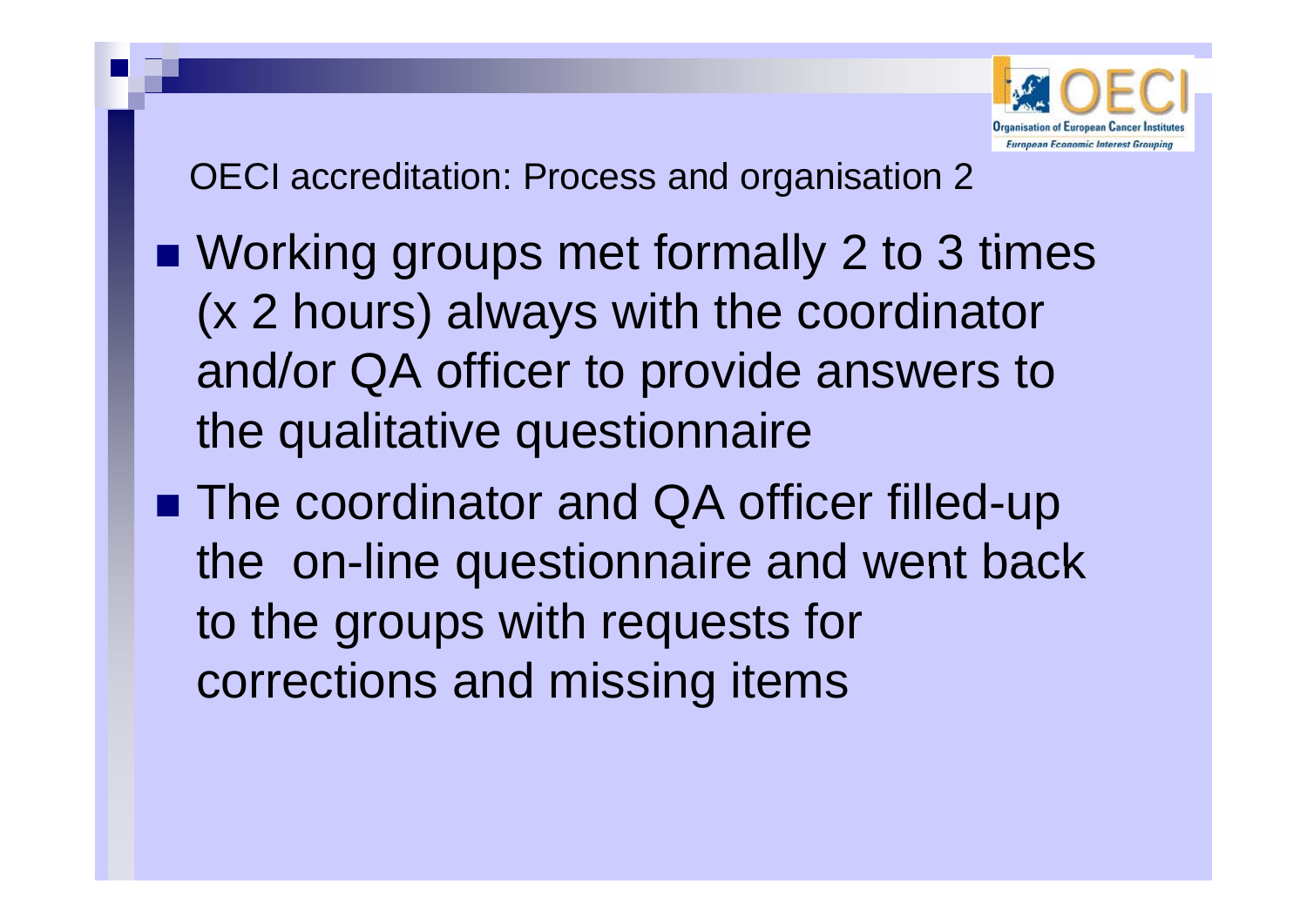

OECI accreditation: Process and organisation 2

- **Norking groups met formally 2 to 3 times** (x 2 hours) always with the coordinator and/or QA officer to provide answers to the qualitative questionnaire
- The coordinator and QA officer filled-up the on-line questionnaire and went back to the groups with requests for corrections and missing items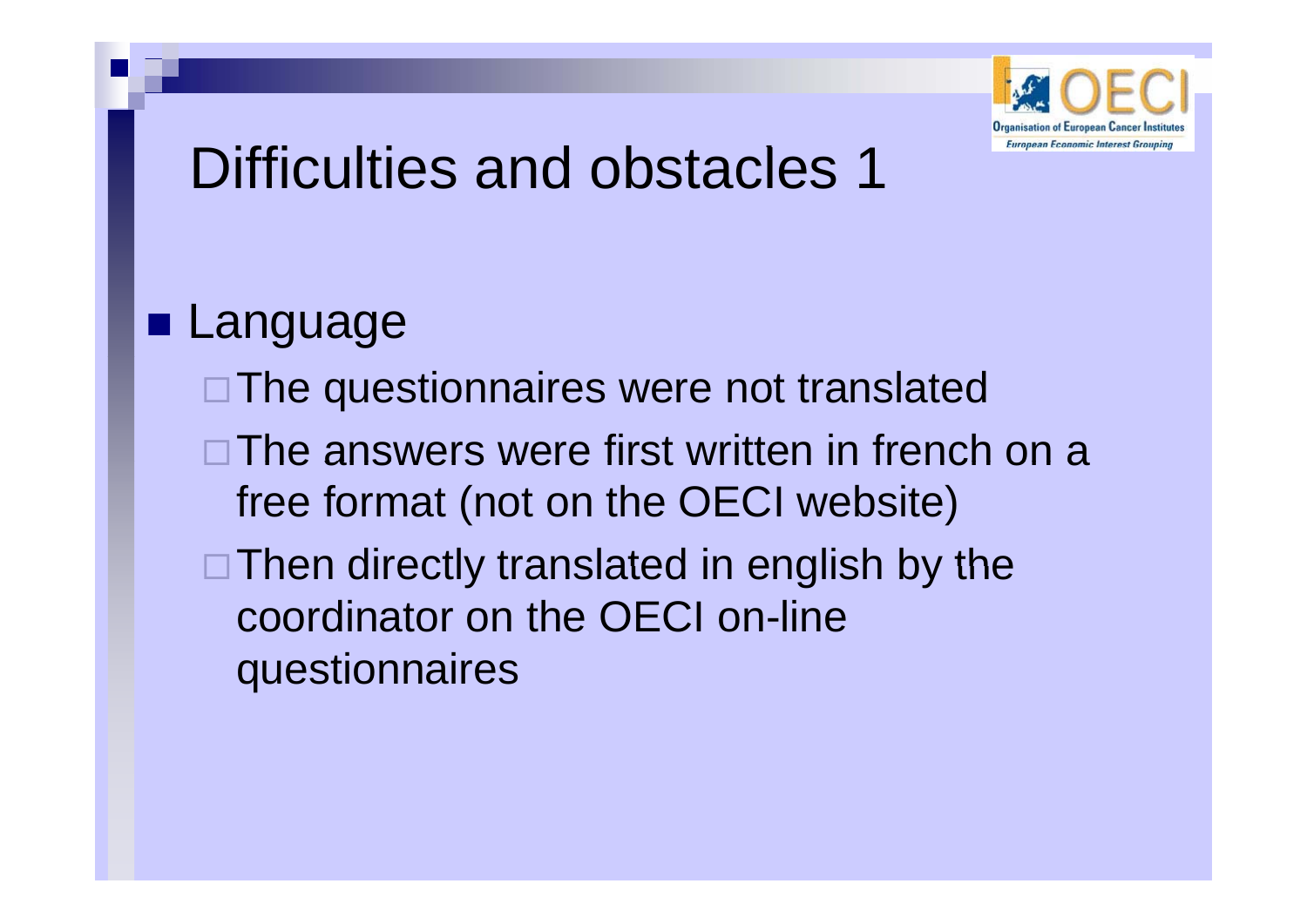

# Difficulties and obstacles 1

**Language** □The questionnaires were not translated □The answers were first written in french on a free format (not on the OECI website)  $\Box$  Then directly translated in english by the coordinator on the OECI on-line questionnaires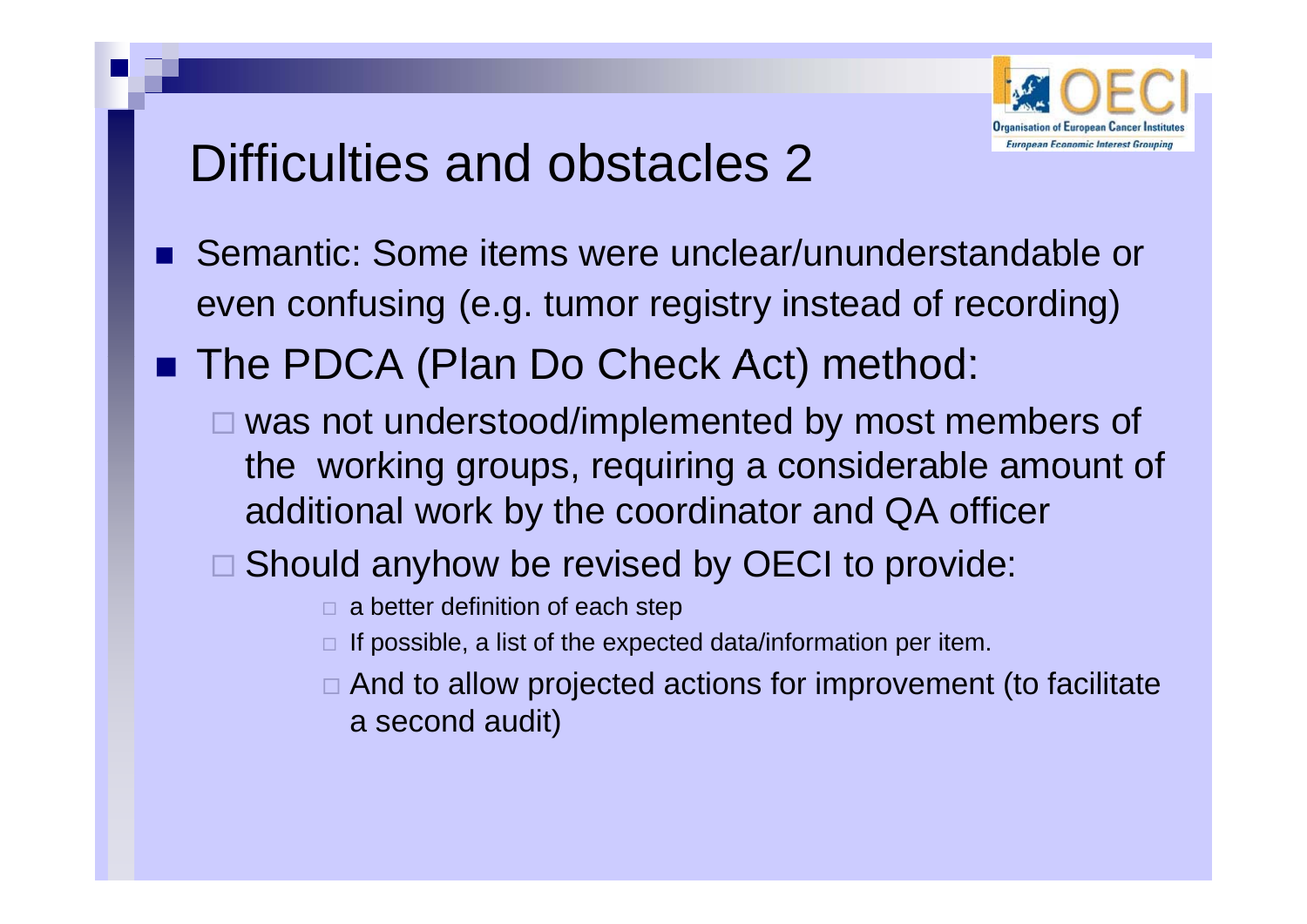

## Difficulties and obstacles 2

- Semantic: Some items were unclear/ununderstandable or even confusing (e.g. tumor registry instead of recording)
- The PDCA (Plan Do Check Act) method:
	- □ was not understood/implemented by most members of the working groups, requiring a considerable amount of additional work by the coordinator and QA officer
	- $\Box$  Should anyhow be revised by OECI to provide:
		- $\square$  a better definition of each step
		- $\Box$  If possible, a list of the expected data/information per item.
		- $\square$  And to allow projected actions for improvement (to facilitate a second audit)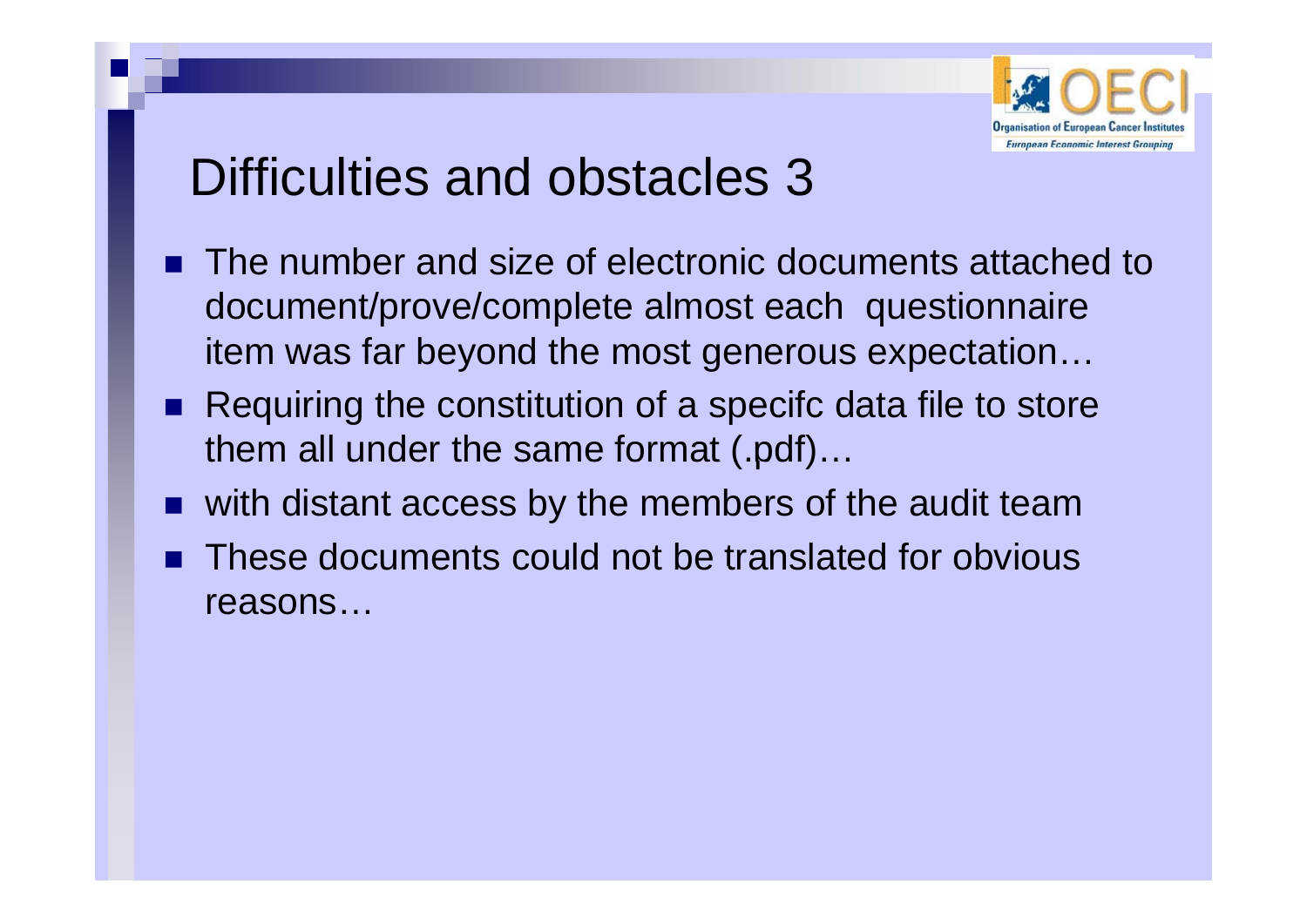

## Difficulties and obstacles 3

- $\blacksquare$  The number and size of electronic documents attached to document/prove/complete almost each questionnaire item was far beyond the most generous expectation...
- Requiring the constitution of a specifc data file to store them all under the same format (.pdf)…
- F. with distant access by the members of the audit team
- П These documents could not be translated for obvious reasons…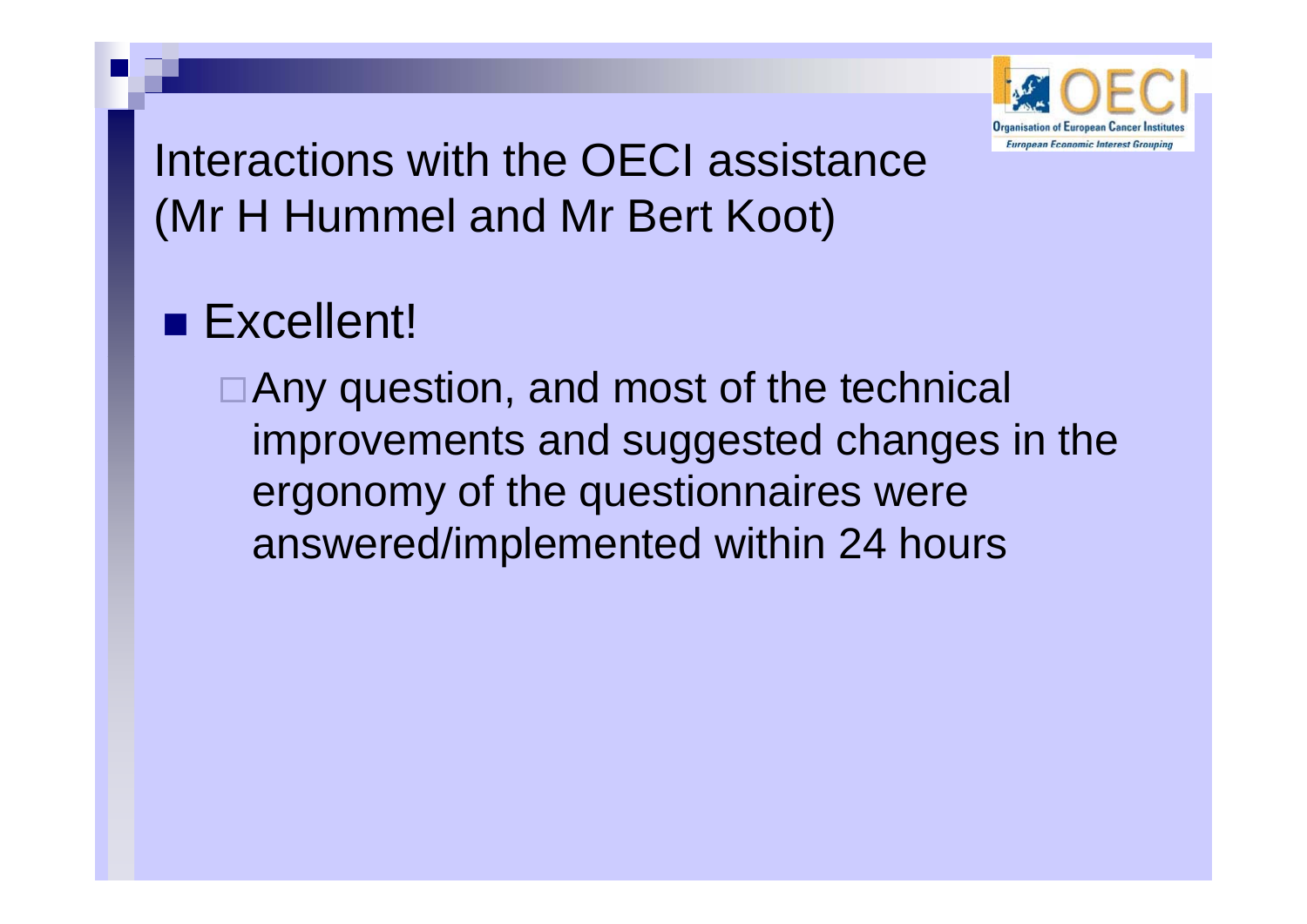

Interactions with the OECI assistance (Mr H Hummel and Mr Bert Koot)

## **Excellent!**

□ Any question, and most of the technical improvements and suggested changes in the ergonomy of the questionnaires were answered/im plemented within 24 hours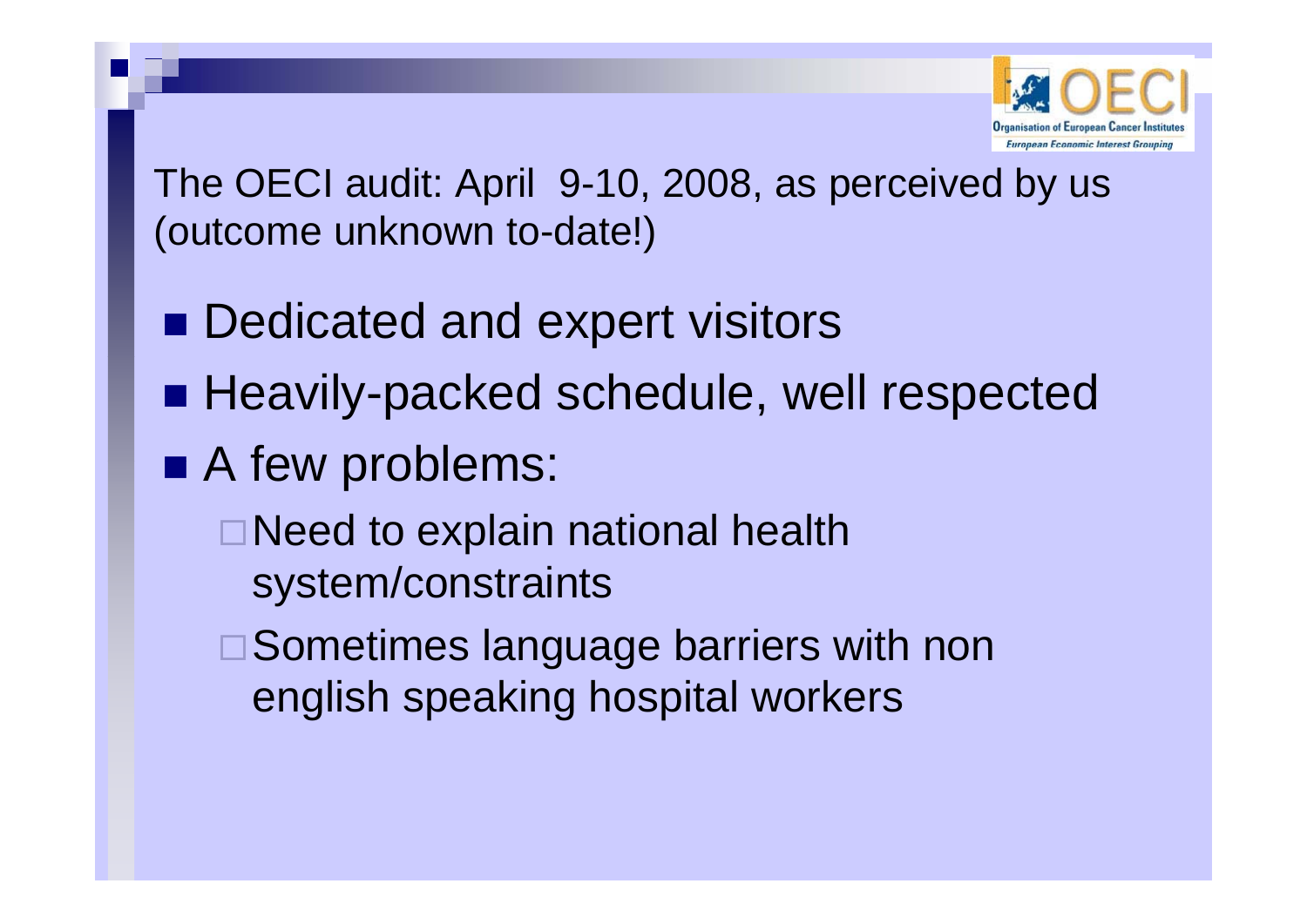

The OECI audit: April 9-10, 2008, as perceived by us (outcome unknown to-date! )

- **Dedicated and expert visitors**
- **Heavily-packed schedule, well respected**
- A few problems:
	- □ Need to explain national health system /constraints
	- ■Sometimes language barriers with non english speaking hospital workers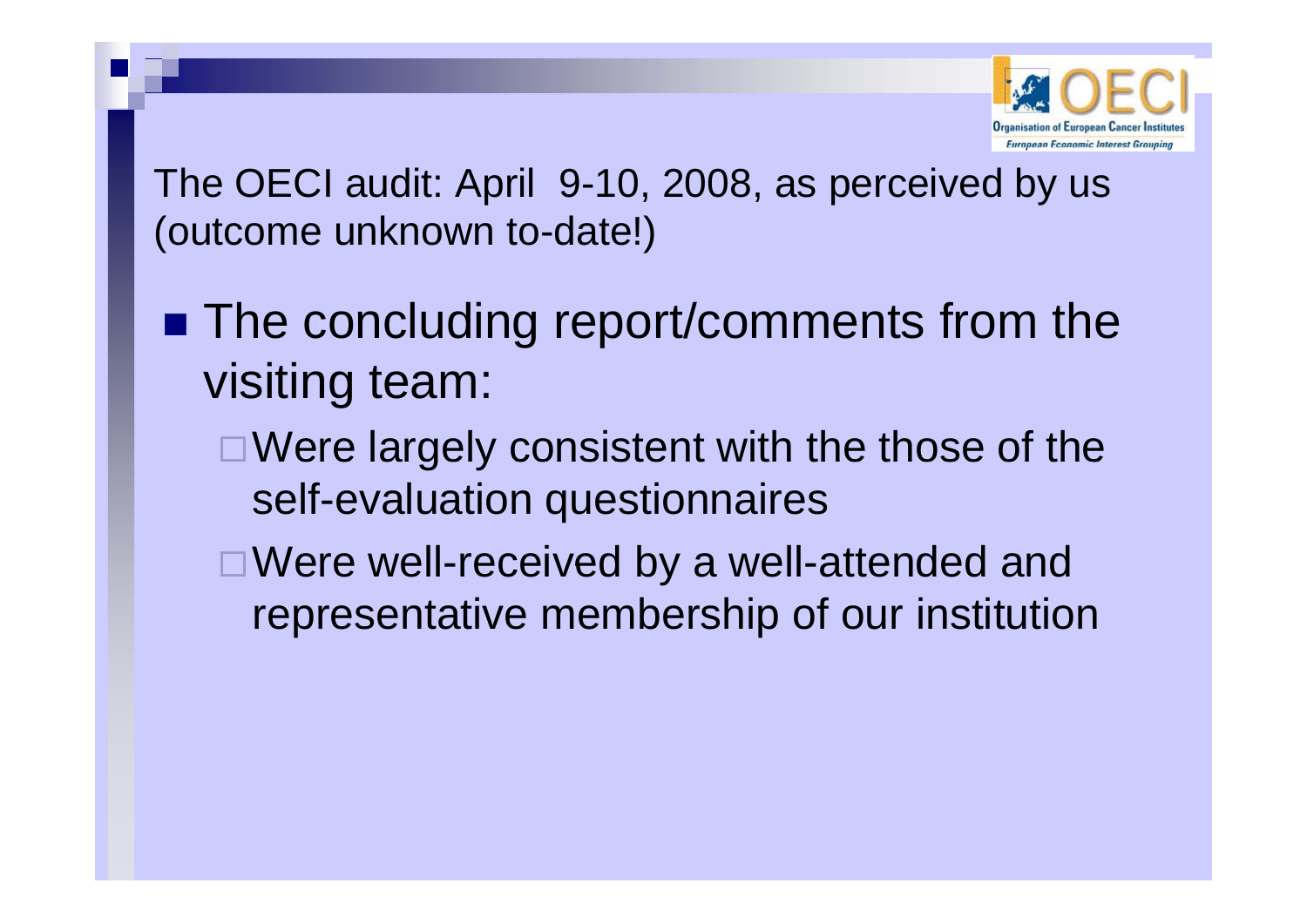

The OECI audit: April 9-10, 2008, as perceived by us (outcome unknown to-date! )

- **The concluding report/comments from the** visiting team:
	- □ Were largely consistent with the those of the self-evaluation questionnaires
	- $\Box$  Were well-received by a well-attended and representative membership of our institution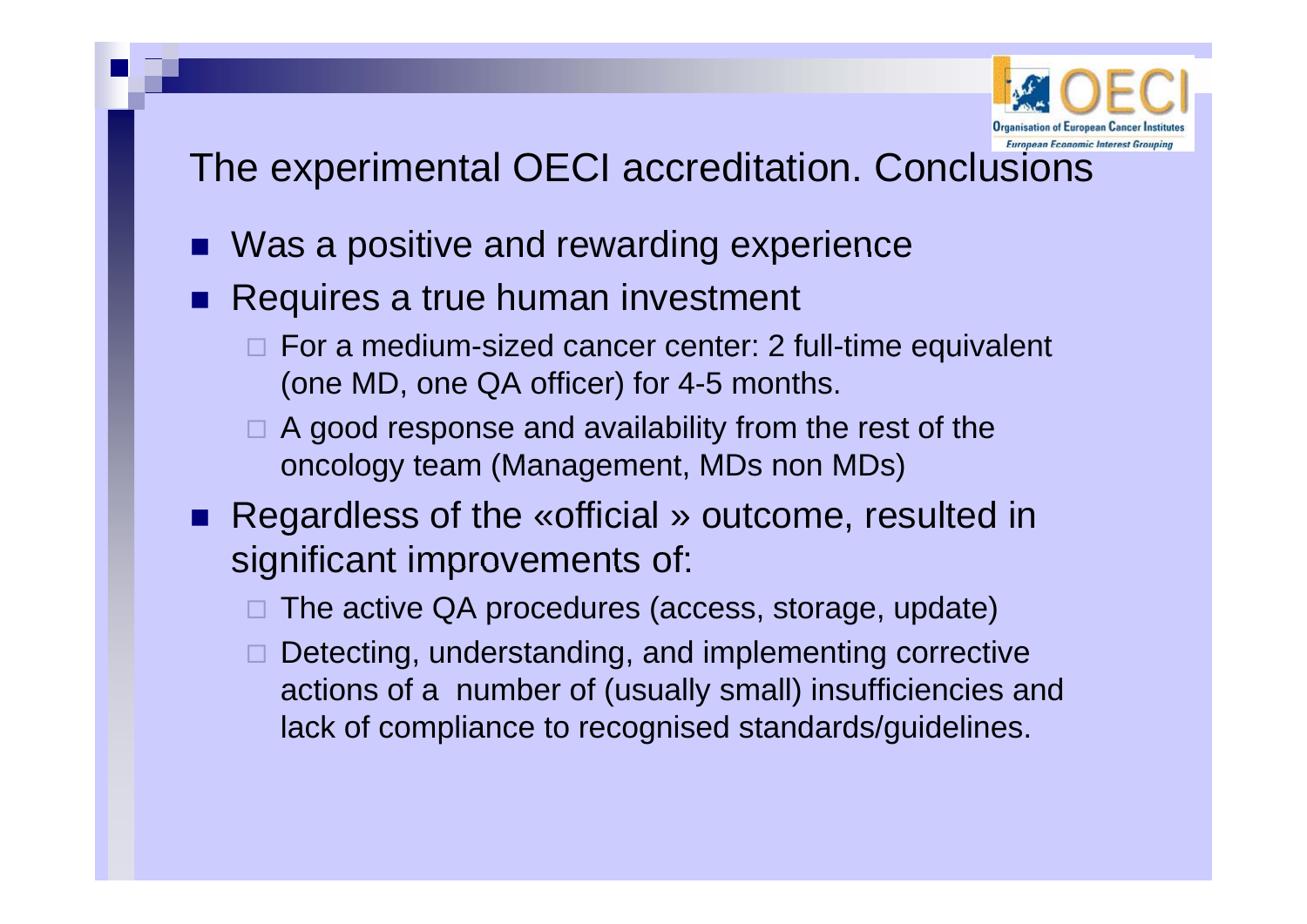

### The experimental OECI accreditation. Conclusions

- Π ■ Was a positive and rewarding experience
- **Requires a true human investment** 
	- $\Box$  For a medium-sized cancer center: 2 full-time equivalent (one MD, one QA officer) for 4-5 months.
	- A good response and availability from the rest of the oncology team (Management, MDs non MDs)
- Regardless of the «official » outcome, resulted in significant improvements of:
	- □ The active QA procedures (access, storage, update)
	- $\Box$  Detecting, understanding, and implementing corrective actions of a number of (usually small) insufficiencies and lack of compliance to recognised standards/guidelines.